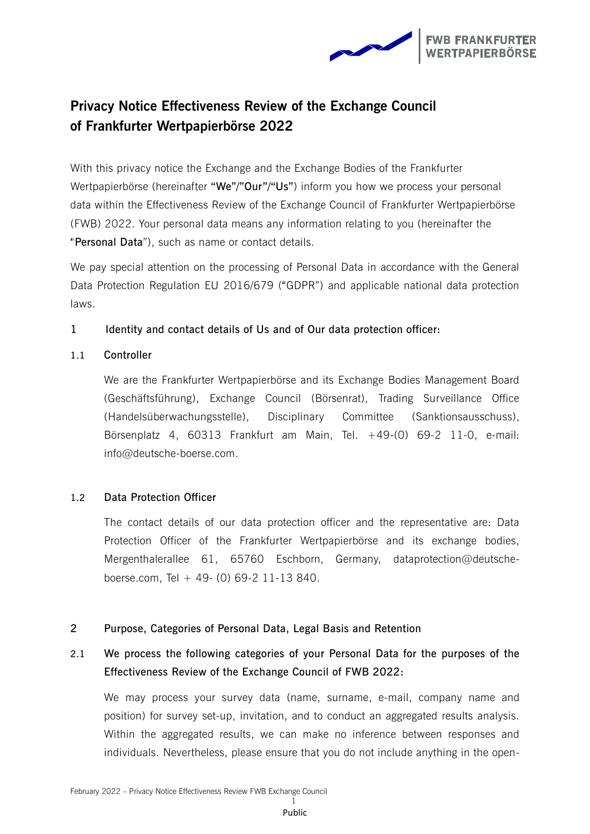

## **Privacy Notice Effectiveness Review of the Exchange Council of Frankfurter Wertpapierbörse 2022**

With this privacy notice the Exchange and the Exchange Bodies of the Frankfurter Wertpapierbörse (hereinafter **"We"/"Our"/"Us"**) inform you how we process your personal data within the Effectiveness Review of the Exchange Council of Frankfurter Wertpapierbörse (FWB) 2022. Your personal data means any information relating to you (hereinafter the "**Personal Data**"), such as name or contact details.

We pay special attention on the processing of Personal Data in accordance with the General Data Protection Regulation EU 2016/679 ("GDPR") and applicable national data protection laws.

### **1 Identity and contact details of Us and of Our data protection officer:**

### **1.1 Controller**

We are the Frankfurter Wertpapierbörse and its Exchange Bodies Management Board (Geschäftsführung), Exchange Council (Börsenrat), Trading Surveillance Office (Handelsüberwachungsstelle), Disciplinary Committee (Sanktionsausschuss), Börsenplatz 4, 60313 Frankfurt am Main, Tel. +49-(0) 69-2 11-0, e-mail: info@deutsche-boerse.com.

### **1.2 Data Protection Officer**

The contact details of our data protection officer and the representative are: Data Protection Officer of the Frankfurter Wertpapierbörse and its exchange bodies, Mergenthalerallee 61, 65760 Eschborn, Germany, dataprotection@deutscheboerse.com, Tel  $+$  49- (0) 69-2 11-13 840.

### **2 Purpose, Categories of Personal Data, Legal Basis and Retention**

### **2.1 We process the following categories of your Personal Data for the purposes of the Effectiveness Review of the Exchange Council of FWB 2022:**

We may process your survey data (name, surname, e-mail, company name and position) for survey set-up, invitation, and to conduct an aggregated results analysis. Within the aggregated results, we can make no inference between responses and individuals. Nevertheless, please ensure that you do not include anything in the open-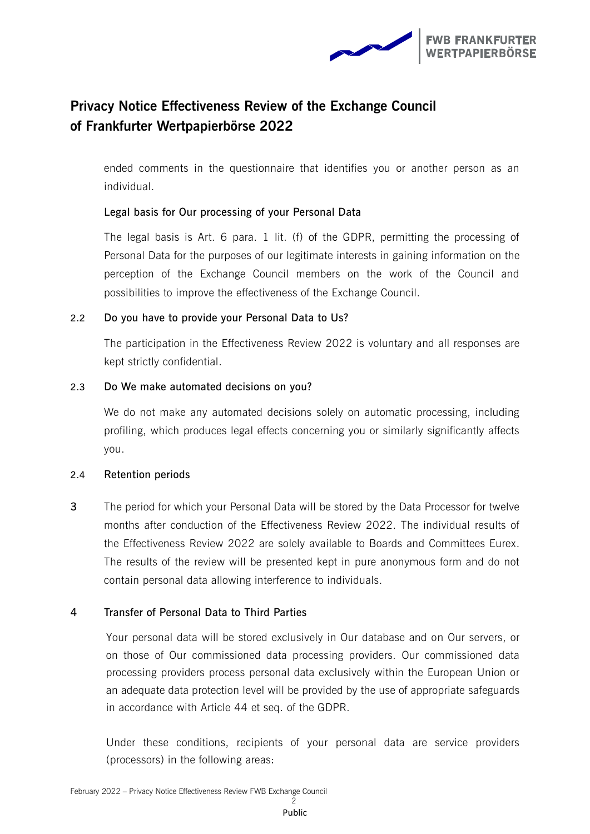

# **Privacy Notice Effectiveness Review of the Exchange Council of Frankfurter Wertpapierbörse 2022**

ended comments in the questionnaire that identifies you or another person as an individual.

### **Legal basis for Our processing of your Personal Data**

The legal basis is Art. 6 para. 1 lit. (f) of the GDPR, permitting the processing of Personal Data for the purposes of our legitimate interests in gaining information on the perception of the Exchange Council members on the work of the Council and possibilities to improve the effectiveness of the Exchange Council.

#### **2.2 Do you have to provide your Personal Data to Us?**

The participation in the Effectiveness Review 2022 is voluntary and all responses are kept strictly confidential.

#### **2.3 Do We make automated decisions on you?**

We do not make any automated decisions solely on automatic processing, including profiling, which produces legal effects concerning you or similarly significantly affects you.

#### **2.4 Retention periods**

**3** The period for which your Personal Data will be stored by the Data Processor for twelve months after conduction of the Effectiveness Review 2022. The individual results of the Effectiveness Review 2022 are solely available to Boards and Committees Eurex. The results of the review will be presented kept in pure anonymous form and do not contain personal data allowing interference to individuals.

### **4 Transfer of Personal Data to Third Parties**

Your personal data will be stored exclusively in Our database and on Our servers, or on those of Our commissioned data processing providers. Our commissioned data processing providers process personal data exclusively within the European Union or an adequate data protection level will be provided by the use of appropriate safeguards in accordance with Article 44 et seq. of the GDPR.

Under these conditions, recipients of your personal data are service providers (processors) in the following areas: